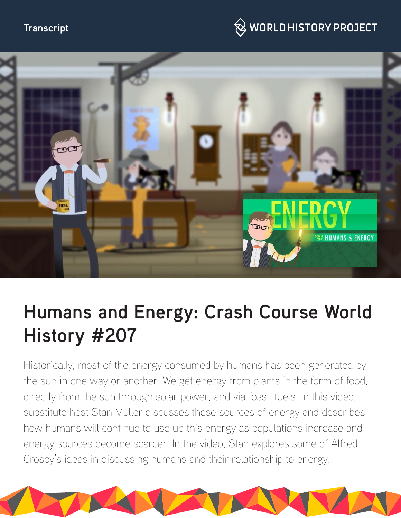### **Transcript**

# $\bigotimes$  WORLD HISTORY PROJECT



# **Humans and Energy: Crash Course World History #207**

Historically, most of the energy consumed by humans has been generated by the sun in one way or another. We get energy from plants in the form of food, directly from the sun through solar power, and via fossil fuels. In this video, substitute host Stan Muller discusses these sources of energy and describes how humans will continue to use up this energy as populations increase and energy sources become scarcer. In the video, Stan explores some of Alfred Crosby's ideas in discussing humans and their relationship to energy.

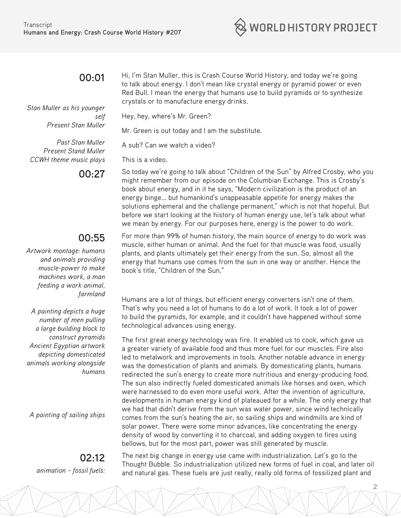

#### **00:01**

*Stan Muller as his younger self Present Stan Muller*

*Past Stan Muller Present Stand Muller CCWH theme music plays*

# **00:55**

*Artwork montage: humans and animals providing muscle-power to make machines work, a man feeding a work animal, farmland*

*A painting depicts a huge number of men pulling a large building block to construct pyramids Ancient Egyptian artwork depicting domesticated animals working alongside humans*

*A painting of sailing ships*

**02:12**  *animation – fossil fuels:*  Hi, I'm Stan Muller, this is Crash Course World History, and today we're going to talk about energy. I don't mean like crystal energy or pyramid power or even Red Bull. I mean the energy that humans use to build pyramids or to synthesize crystals or to manufacture energy drinks.

Hey, hey, where's Mr. Green?

Mr. Green is out today and I am the substitute.

A sub? Can we watch a video?

This is a video.

**00:27** So today we're going to talk about "Children of the Sun" by Alfred Crosby, who you might remember from our episode on the Columbian Exchange. This is Crosby's book about energy, and in it he says, "Modern civilization is the product of an energy binge... but humankind's unappeasable appetite for energy makes the solutions ephemeral and the challenge permanent," which is not that hopeful. But before we start looking at the history of human energy use, let's talk about what we mean by energy. For our purposes here, energy is the power to do work.

> For more than 99% of human history, the main source of energy to do work was muscle, either human or animal. And the fuel for that muscle was food, usually plants, and plants ultimately get their energy from the sun. So, almost all the energy that humans use comes from the sun in one way or another. Hence the book's title, "Children of the Sun."

Humans are a lot of things, but efficient energy converters isn't one of them. That's why you need a lot of humans to do a lot of work. It took a lot of power to build the pyramids, for example, and it couldn't have happened without some technological advances using energy.

The first great energy technology was fire. It enabled us to cook, which gave us a greater variety of available food and thus more fuel for our muscles. Fire also led to metalwork and improvements in tools. Another notable advance in energy was the domestication of plants and animals. By domesticating plants, humans redirected the sun's energy to create more nutritious and energy-producing food. The sun also indirectly fueled domesticated animals like horses and oxen, which were harnessed to do even more useful work. After the invention of agriculture, developments in human energy kind of plateaued for a while. The only energy that we had that didn't derive from the sun was water power, since wind technically comes from the sun's heating the air, so sailing ships and windmills are kind of solar power. There were some minor advances, like concentrating the energy density of wood by converting it to charcoal, and adding oxygen to fires using bellows, but for the most part, power was still generated by muscle.

The next big change in energy use came with industrialization. Let's go to the Thought Bubble. So industrialization utilized new forms of fuel in coal, and later oil and natural gas. These fuels are just really, really old forms of fossilized plant and

2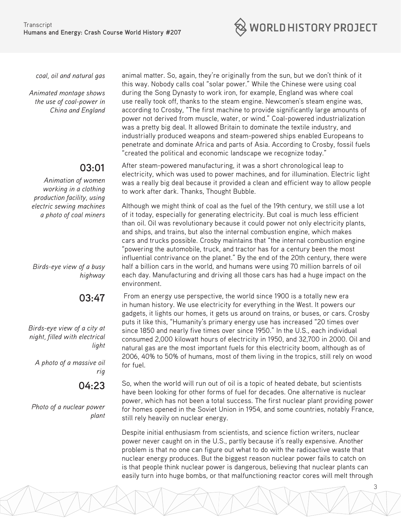

*coal, oil and natural gas*

*Animated montage shows the use of coal-power in China and England*

# **03:01**

*Animation of women working in a clothing production facility, using electric sewing machines a photo of coal miners*

*Birds-eye view of a busy highway*

# **03:47**

*Birds-eye view of a city at night, filled with electrical light*

*A photo of a massive oil rig*

**04:23** 

*Photo of a nuclear power plant*

animal matter. So, again, they're originally from the sun, but we don't think of it this way. Nobody calls coal "solar power." While the Chinese were using coal during the Song Dynasty to work iron, for example, England was where coal use really took off, thanks to the steam engine. Newcomen's steam engine was, according to Crosby, "The first machine to provide significantly large amounts of power not derived from muscle, water, or wind." Coal-powered industrialization was a pretty big deal. It allowed Britain to dominate the textile industry, and industrially produced weapons and steam-powered ships enabled Europeans to penetrate and dominate Africa and parts of Asia. According to Crosby, fossil fuels "created the political and economic landscape we recognize today."

After steam-powered manufacturing, it was a short chronological leap to electricity, which was used to power machines, and for illumination. Electric light was a really big deal because it provided a clean and efficient way to allow people to work after dark. Thanks, Thought Bubble.

Although we might think of coal as the fuel of the 19th century, we still use a lot of it today, especially for generating electricity. But coal is much less efficient than oil. Oil was revolutionary because it could power not only electricity plants, and ships, and trains, but also the internal combustion engine, which makes cars and trucks possible. Crosby maintains that "the internal combustion engine "powering the automobile, truck, and tractor has for a century been the most influential contrivance on the planet." By the end of the 20th century, there were half a billion cars in the world, and humans were using 70 million barrels of oil each day. Manufacturing and driving all those cars has had a huge impact on the environment.

 From an energy use perspective, the world since 1900 is a totally new era in human history. We use electricity for everything in the West. It powers our gadgets, it lights our homes, it gets us around on trains, or buses, or cars. Crosby puts it like this, "Humanity's primary energy use has increased "20 times over since 1850 and nearly five times over since 1950." In the U.S., each individual consumed 2,000 kilowatt hours of electricity in 1950, and 32,700 in 2000. Oil and natural gas are the most important fuels for this electricity boom, although as of 2006, 40% to 50% of humans, most of them living in the tropics, still rely on wood for fuel.

So, when the world will run out of oil is a topic of heated debate, but scientists have been looking for other forms of fuel for decades. One alternative is nuclear power, which has not been a total success. The first nuclear plant providing power for homes opened in the Soviet Union in 1954, and some countries, notably France, still rely heavily on nuclear energy.

Despite initial enthusiasm from scientists, and science fiction writers, nuclear power never caught on in the U.S., partly because it's really expensive. Another problem is that no one can figure out what to do with the radioactive waste that nuclear energy produces. But the biggest reason nuclear power fails to catch on is that people think nuclear power is dangerous, believing that nuclear plants can easily turn into huge bombs, or that malfunctioning reactor cores will melt through